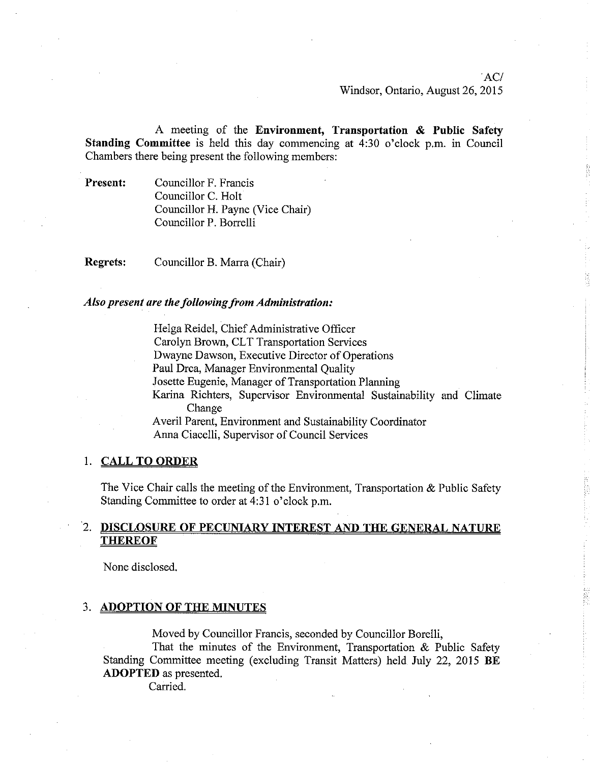A meeting of the Environment, Transportation & Public Safety Standing Committee is held this day commencing at 4:30 o'clock p.m. in Council Chambers there being present the following members:

Present: Councillor F. Francis Councillor C. Holt Councillor H. Payne (Vice Chair) Councillor P. Borrelli

Regrets: Councillor B. Marra (Chair)

### Also present are the following from Administration:

Helga Reidel, Chief Administrative Officer Carolyn Brown, CLT Transportation Services Dwayne Dawson, Executive Director of Operations Paul Drca, Manager Environmental Quality Josette Eugenie, Manager of Transportation Planning Karina Richters, Supervisor Environmental Sustainability and Climate Change Averil Parent, Environment and Sustainability Coordinator Anna Ciacelli, Supervisor of Council Services

### 1. CALL TO ORDER

The Vice Chair calls the meeting of the Environment, Transportation & Public Safety Standing Committee to order at 4:31 o'clock p.m.

## 2. DISCLOSURE OF PECUNIARY INTEREST AND THE GENERAL NATURE **THEREOF**

None disclosed.

### 3. ADOPTION OF THE MINUTES

Moved by Councillor Francis, seconded by Councilior Boreili,

That the minutes of the Environment, Transportation & Public Safety Standing Committee meeting (excluding Transit Matters) held July 22, 2015 BE ADOPTED as presented.

Carried.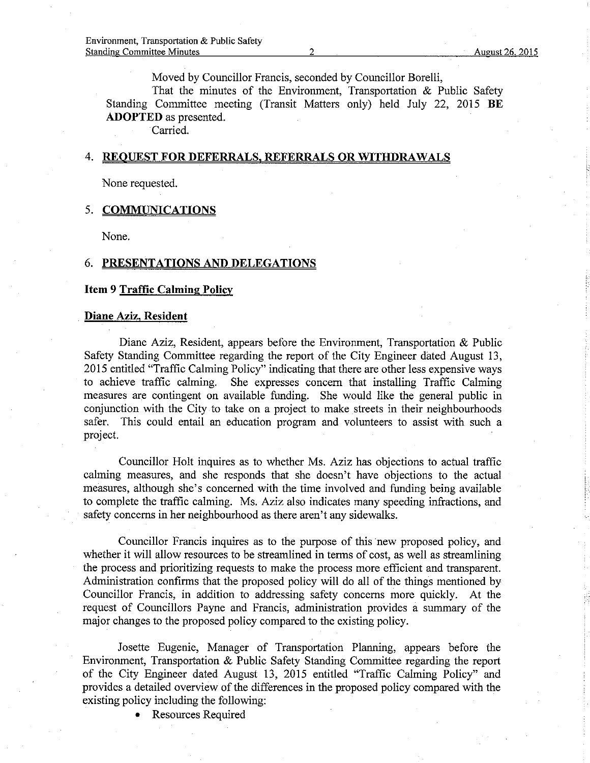Moved by Councillor Francis, seconded by Councillor Borelli,

That the minutes of the Environment, Transportation & Public Safety Standing Committee meeting (Transit Matters only) held July 22, 2015 BE ADOPTED as presented.

Carried.

### 4. REQUEST FOR DEFERRALS, REFERRALS OR WITHDRAWALS

None requested.

### 5. COMMUNICATIONS

None.

## 6. PRESENTATIONS AND DELEGATIONS

#### Item 9 Traffic Calming Policy

### Diane Aziz, Resident

Díane Aziz, Resident, appears before the Environment, Transportation & Public Safety Standing Committee regarding the report of the City Engineer dâted August 13, 2015 entitled "Traffic Calming Policy" indicafing that there are other less expensive ways to achieve traffic calming. She expresses concern that installing Traffic Calming measures are contingent on available funding. She would like the general public in conjunction with the City to take on a project to make streets in their neighbourhoods safer. This could entail an education program and volunteers to assist with such a project.

Councillor Holt inquires as to whether Ms. Aziz has objections to actual traffic calming measures, and she responds that she doesn't have objections to the actual measures, although she's concemed with the time involved and funding being available to complete the traffic caiming. Ms. Aziz also indicates many speeding infractions, and safety concerns in her neighbourhood as there aren't any sidewalks.

Councillor Francis inquires as to the purpose of this new proposed policy, and whether it will allow resources to be streamlined in terms of cost, as well as streamlining the process and prioritizing requests to make the process more efficient and transparent. Administration confirms that the proposed policy will do all of the things mentioned by Councillor Francis, in addition to addressing safety concems more quickly. At the request of Councillors Payne and Francis, administration provides a summary of the major changes to the proposed policy compared to the existing policy.

Josette Eugenie, Manager of Transportation Planning, appears before the Environment, Transportation & Public Safety Standing Committee regarding the report of the City Engineer dated August 13, 2015 entitled "Trafhc Calming Policy" and provides a detailed overview of the differences in the proposed policy compared with the existing policy including the following:

• Resources Required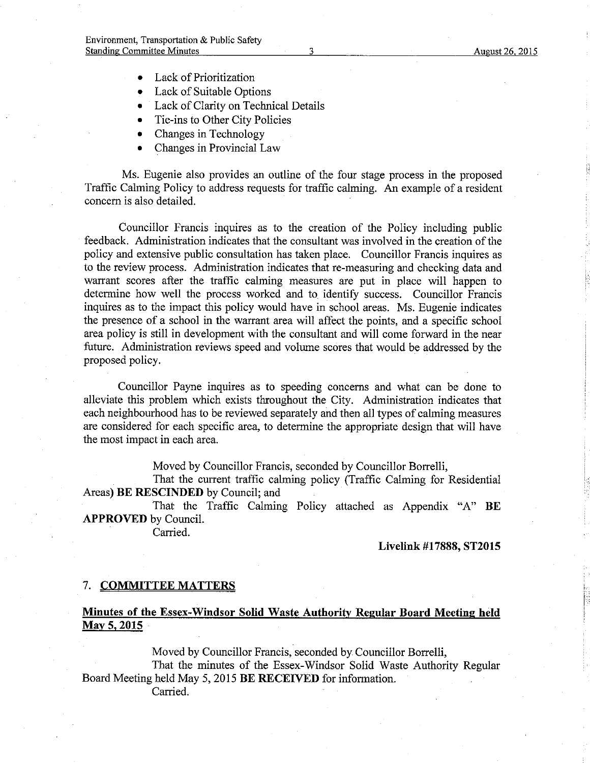- Lack of Prioritization
- Lack of Suitable Options
- Lack of Clarity on Technical Details
- Tie-ins to Other City Policies  $\bullet$
- Changes in Technology  $\bullet$
- Changes in Provincial Law  $\bullet$

Ms. Eugenie also provides an outline of the four stage process in the proposed Traffic Calming Policy to address requests for traffic calming. An example of a resident concern is also detailed.

Councillor Francis inquires as to the creation of the Policy including public feedback. Administration indicates that the consultant was involved in the creation of the policy and extensive public consultation has taken place. Councillor Francis inquires as to the review process. Administration indicates that re-measuring and checking data and warrant scores after the traffic calming measures are put in place will happen to determine how well the process worked and to identify success. Councillor Francis inquires as to the impact this policy would have in school areas. Ms. Eugenie indicates the presence of a school in the warrant area will affect the points, and a specific school area policy is still in development with the consultant and will come forward in the near future. Administration reviews speed and volume scores that would be addressed by the proposed policy.

Councillor Payne inquires as to speeding concerns and what can be done to alleviate this problem which exists throughout the City. Administration indicates that each neighbourhood has to be reviewed separately and then all types of calming measures are considered for each specific area, to determine the appropriate design that will have the most impact in each area.

Moved by Councillor Francis, seconded by Councillor Borrelli,

That the current traffic calming policy (Traffic Calming for Residential Areas) BE RESCINDED by Council; and

That the Traffic Calming Policy attached as Appendix "A" BE **APPROVED** by Council.

Carried.

**Livelink #17888, ST2015** 

### 7. COMMITTEE MATTERS

# Minutes of the Essex-Windsor Solid Waste Authority Regular Board Meeting held May 5, 2015

Moved by Councillor Francis, seconded by Councillor Borrelli, That the minutes of the Essex-Windsor Solid Waste Authority Regular Board Meeting held May 5, 2015 BE RECEIVED for information.

Carried.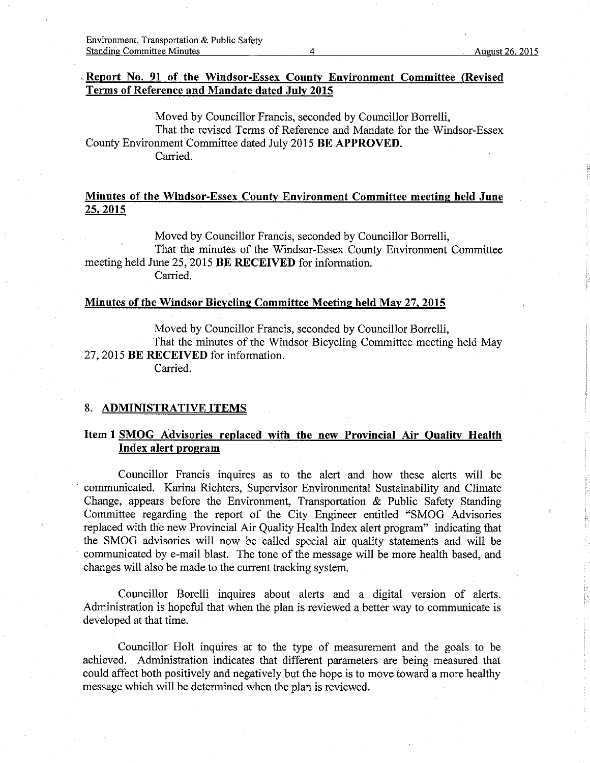## Report No. 91 of the Windsor-Essex County Environment Committee (Revised Terms of Reference and Mandate dated July 2015

Moved by Councillor Francis, seconded by Councillor Borrelli, That the revised Terms of Reference and Mandate for the Windsor-Essex County Environment Committee dated July 2015 BE APPROVED. Carried.

# Minutes of the Windsor-Essex County Environment Committee meeting held June 25.2015

Moved by Councillor Francis, seconded by Councillor Borrelli, That the minutes of the Windsor-Essex County Environment Committee meeting held June 25, 2015 BE RECEIVED for information. Carried.

### Minutes of the Windsor Bicycling Committee Meeting held May 27, 2015

Moved by Councillor Francis, seconded by Councillor Borrelli, That the minutes of the Windsor Bicycling Committee meeting held May 27, 2015 BE RECEIVED for information. Carried.

#### 8. ADMINISTRATIVE ITEMS

# Iten I SMOG Advisories replaced with the new Provincial Air Oualitv Health Index alert proqram

Councillor Francis inquires as to the alert and how these alerts will be communicated. Karina Richters, Supervisor Environmental Sustainability and Climate Change, appears before the Environment, Transportation & Public Safety Standing Committee regarding the report of the City Engineer entitled "SMOG Advisories replaced with the new Provincial Air Quality Health Index alert program" indicating that the SMOG advisories will now be called special air quality statements and will be communicated by e-mail blast. The tone of the message will be more health based, and changes will also be made to the current tracking system.

Councillor Borelli inquires about alerts and a digital version of alerts. Administration is hopeful that when the plan is reviewed a better way to communicate is developed at that time.

Councillor Holt inquires at to the type of measurement and the goals to be achieved. Administration indicates that different parameters are being measured that could affect both positively and negatively but the hope is to move toward a more healthy message which will be determined when the plan is reviewed.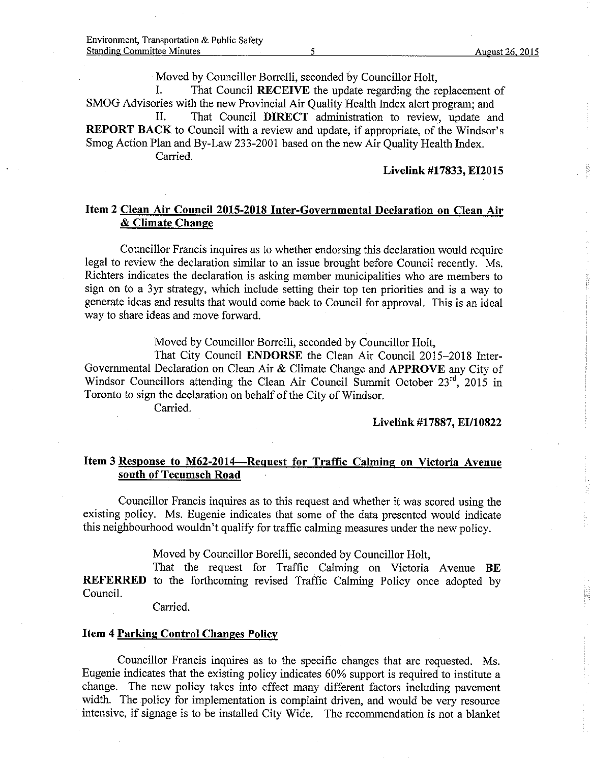Moved by Councillor Borrelli, seconded by Councillor Ho1t,

I. That Council RECEIVE the update regarding the replacement of

SMOG Advisories with the new Provincial Air Quality Health Index alert program; and II. That Council DIRECT administration to review, update and REPORT BACK to Council with a review and update, if appropriate, of the Windsor's Smog Action Plan and By-Law 233-2001 based on the new Air Quality Health Index. Carried.

## Livelink #17833, EI2015

## Item 2 Clean Air Council 2015-2018 Inter-Governmental Declaration on Clean Air & Climate Change

Councillor Francis inquires as to whether endorsing this declaration would require legal to review the declaration similar to an issue brought before Council recently. Ms. Richters indicates the declaration is asking member municipalities who are members to sign on to a 3yr strategy, which include setting their top ten priorities and is a way to generate ideas and results that would come back to Council for approval. This is an ideal way to share ideas and move forward.

Moved by Councillor Borrelli, seconded by Councillor Holt,

That City Council ENDORSE the Clean Air Council 2015-2018 Inter-Govemmental Declaration on Clean Air & Climate Change and APPROVE any City of Windsor Councillors attending the Clean Air Council Summit October  $23^{rd}$ ,  $2015$  in Toronto to sign the declaration on behalf of the City of Windsor.

Carried.

Livelink #17887, EI/10822

# Item 3 Response to M62-2014-Request for Traffic Calming on Victoria Avenue south of Tecumseh Road

Councillor Francis inquires as to this request and whether it was scored using the existing policy. Ms. Eugenie indicates that some of the data presented would indicate this neighbourhood wouldn't qualify for traffic calming measures under the new policy.

Moved by Councillor Borelli, seconded by Councillor Holt,

That the request for Traffic Calming on Victoria Avenue BE REFERRED to the forthcoming revised Traffic Calming Policy once adopted by Council.

Carried.

#### Item 4 Parking Control Changes Policy

Councillor Francis inquires as to the specific changes that are requested. Ms. Eugenie indicates that the existing policy indicates 60% support is required to institute a change. The new policy takes into effect many different factors including pavement width. The policy for implementation is complaint driven, and would be very resource intensive, if signage is to be installed City Wide. The recommendation is not a blanket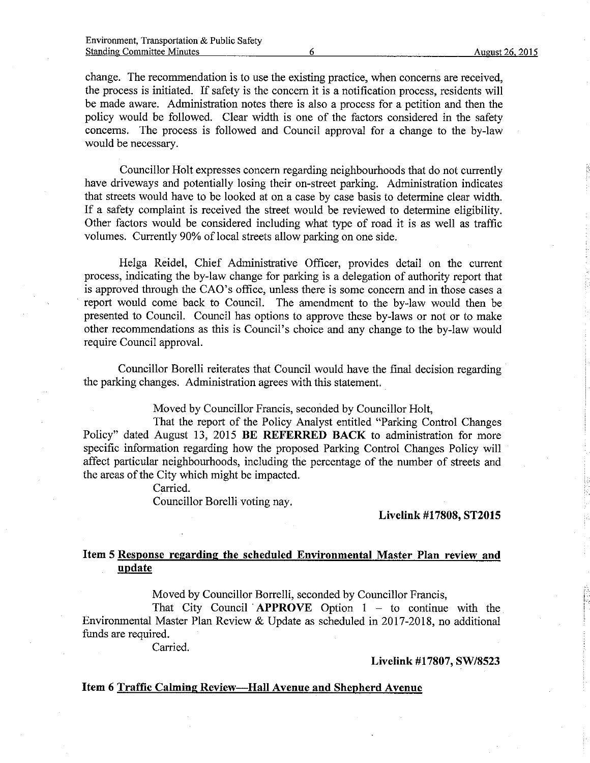change. The recommendation is to use the existing practice, when concerns are received, the process is initiated. If safety is the concem it is a notihcation process, residents will be made aware. Administration notes there is also a process for a petition and then the policy would be followed. Clear width is one of the factors considered in the safety concerns. The process is followed and Council approval for a change to the by-law would be necessary.

Councillor Holt expresses concem regarding neighbourhoods that do not cunently have driveways and potentially losing their on-street parking. Administration indicates that streets would have to be looked at on a case by case basis to determine clear width. If a safety compiaint is received the street would be reviewed to determine eligibility. Other factors would be considered including what type of road it is as well as traffic voiumes. Currently 90% of local streets allow parking on one side.

Helga Reidel, Chief Administrative Officer, provides detail on the current process, indicating the by-law change for parking is a delegation of authority report that is approved through the CAO's office, unless there is some concem and in those cases a report would come back to Council. The amendment to the by-law would then be presented to Council. Council has options to approve these by-laws or not or to make other recommendations as this is Council's choice and any change to the by-law would require Council approval.

Councillor Borelli reiterates that Council would have the final decision regarding the parking changes. Administration agrees with this statement.

Moved by Councillor Francis, seconded by Councillor Holt,

That the report of the Policy Analyst entitled "Parking Control Changes Policy" dated August 13, 2015 BE REFERRED BACK to administration for more specific information regarding how the proposed Parking Control Changes Policy will affect particular neighbourhoods, including the percentage of the number of streets and the areas of the City which might be impacted.

Carried.

Councillor Borelli voting nay.

Livelink #17808, ST20l5

# Item 5 Response regarding the scheduled Environmental Master PIan review and update

Moved by Councillor Borrelli, seconded by Councillor Francis,

That City Council APPROVE Option  $1 -$  to continue with the Environmental Master Plan Review & Update as scheduled in 2017-2018, no additional funds are required.

Carried.

Livelink #17807, SW/8523

## Item 6 Traffic Calming Review----Hall Avenue and Shepherd Avenue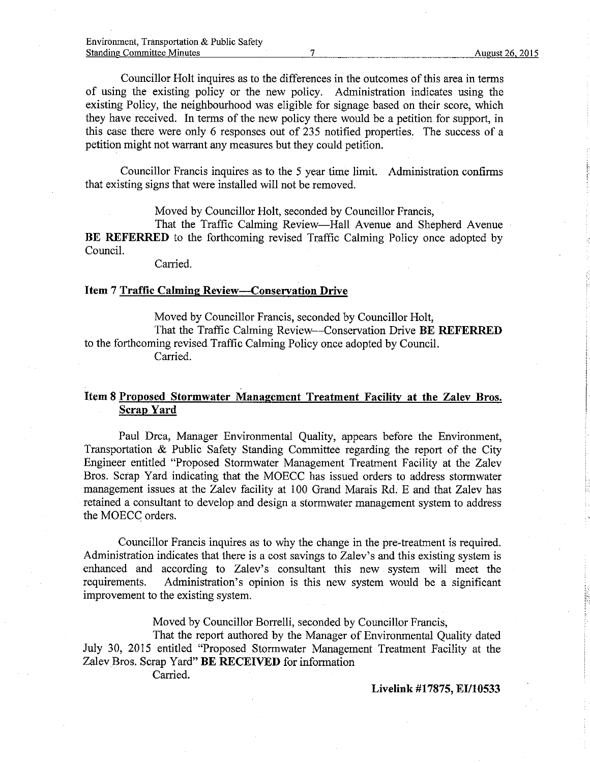Councillor Holt inquires as to the differences in the outcomes of this area in terms of using the existing policy or the new policy. Administration indicates using the existing Policy, the neighbourhood was eligible for signage based on their score, which they have received. In terms of the new policy there would be a petition for support, in this case there were only 6 responses out of 235 notified properties. The success of a petition might not warrant any measures but they could petition.

Councillor Francis inquires as to the 5 year time limit. Administration confirms that existing signs that were installed will not be removed.

Moved by Councillor Holt, seconded by Councillor Francis,

That the Traffrc Calming Review-Hall Avenue and Shepherd Avenue BE REFERRED to the forthcoming revised Traffic Calming Policy once adopted by Council.

Carried.

### Item 7 Traffic Calming Review-Conserration Drive

Moved by Councillor Francis, seconded by Councillor Holt; That the Traffic Calming Review--Conservation Drive BE REFERRED to the forthcoming revised Traffic Calming Policy once adopted by Council. Carried.

# Item 8 Proposed Stormwater Management Treatment Facility at the Zalev Bros. Scrap Yard

Paul Drca, Manager Environmental Quality, appears before the Environment, Transportation & Public Safety Standing Committee regarding the report of the City Engineer entitled "Proposed Stormwater Management Treatment Facility at the Zalev Bros. Scrap Yard indicating that the MOECC has issued orders to address stormwater management issues at the Zalev facility at 100 Grand Marais Rd. E and that Zalev has retained a consultant to develop and design a stormwater management system to address the MOECC orders.

Councillor Francis inquires as to why the change in the pre-treatment is required. Administration indicates that there is a cost savings to Zalev's and this existing system is enhanced and according to Zalev's consultant this new system will meet the requirements. Administration's opinion is this new system would be a significant Administration's opinion is this new system would be a significant improvement to the existing system.

Moved by Councillor Borrelli, seconded by Councillor Francis,

That the report authored by the Manager of Environmental Quality dated July 30, 2015 entitled "Proposed Stormwater Management Treatment Facility at the Zalev Bros. Scrap Yard" BE RECEIVED for information

Carried.

Livelink #17875, EI/10533